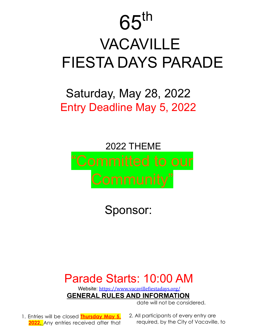# $65<sup>th</sup>$ VACAVILLE FIESTA DAYS PARADE

## Saturday, May 28, 2022 Entry Deadline May 5, 2022

# 2022 THEME "Committed to our

Sponsor:

## Parade Starts: 10:00 AM

Website: https://www.vacavillefiestadays.org/ **GENERAL RULES AND INFORMATION**

date will not be considered.

- 1. Entries will be closed **Thursday May 5, 2022**. Any entries received after that
- 2. All participants of every entry are required, by the City of Vacaville, to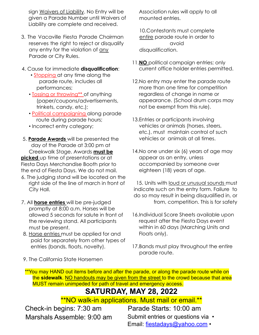sign Waivers of Liability. No Entry will be given a Parade Number until Waivers of Liability are complete and received.

- 3. The Vacaville Fiesta Parade Chairman reserves the right to reject or disqualify any entry for the violation of any Parade or City Rules.
- 4. Cause for immediate **disqualification**:
	- Stopping at any time along the parade route, includes all performances;
	- Tossing or throwing\*\* of anything (paper/coupons/advertisements, trinkets, candy, etc.);
	- Political campaigning along parade route during parade hours;
	- Incorrect entry category;
- 5. **Parade Awards** will be presented the day of the Parade at 3:00 pm at Creekwalk Stage. Awards **must be picked** up time of presentations or at Fiesta Days Merchandise Booth prior to the end of Fiesta Days. We do not mail.
- 6. The judging stand will be located on the right side of the line of march in front of City Hall.
- 7. All **horse entries** will be pre-judged promptly at 8:00 a.m. Horses will be allowed 5 seconds for salute in front of the reviewing stand. All participants must be present.
- 8. Horse entries must be applied for and paid for separately from other types of entries (bands, floats, novelty).

Association rules will apply to all mounted entries.

10.Contestants must complete entire parade route in order to avoid disqualification.

- 11.**NO** political campaign entries; only current office holder entries permitted.
- 12.No entry may enter the parade route more than one time for competition regardless of change in name or appearance. (School drum corps may not be exempt from this rule).
- 13.Entries or participants involving vehicles or animals (horses, steers, etc.), must maintain control of such vehicles or animals at all times.
- 14.No one under six (6) years of age may appear as an entry, unless accompanied by someone over eighteen (18) years of age.

15. Units with loud or unusual sounds must indicate such on the entry form. Failure to do so may result in being disqualified in, or from, competition. This is for safety

- 16.Individual Score Sheets available upon request after the Fiesta Days event within in 60 days (Marching Units and Floats only).
- 17.Bands must play throughout the entire parade route.

9. The California State Horsemen

\*\*You may HAND out items before and after the parade, or along the parade route while on the **sidewalk**. NO handouts may be given from the street to the crowd because that area MUST remain unimpeded for path of travel and emergency access.

### **SATURDAY, MAY 28, 2022**

\*\*NO walk-in applications. Must mail or email.\*\*

Check-in begins: 7:30 am Marshals Assemble: 9:00 am

Parade Starts: 10:00 am Submit entries or questions via  $\cdot$ Email: fiestadays@yahoo.com •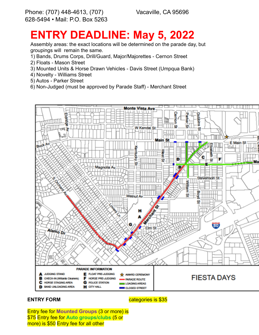Vacaville, CA 95696

## **ENTRY DEADLINE: May 5, 2022**

Assembly areas: the exact locations will be determined on the parade day, but groupings will remain the same.

- 1) Bands, Drums Corps, Drill/Guard, Major/Majorettes Cernon Street
- 2) Floats Mason Street
- 3) Mounted Units & Horse Drawn Vehicles Davis Street (Umpqua Bank)
- 4) Novelty Williams Street
- 5) Autos Parker Street
- 6) Non-Judged (must be approved by Parade Staff) Merchant Street



#### **ENTRY FORM**

categories is \$35

Entry fee for **Mounted Groups** (3 or more) is \$75 Entry fee for **Auto groups/clubs** (5 or more) is \$50 Entry fee for all other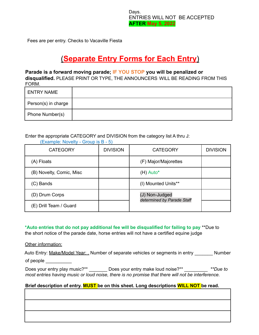Days. ENTRIES WILL NOT BE ACCEPTED **AFTER May 5, 2022**

Fees are per entry. Checks to Vacaville Fiesta

### (**Separate Entry Forms for Each Entry**)

#### **Parade is a forward moving parade; IF YOU STOP you will be penalized or**

**disqualified.** PLEASE PRINT OR TYPE, THE ANNOUNCERS WILL BE READING FROM THIS FORM.

| <b>ENTRY NAME</b>   |  |
|---------------------|--|
| Person(s) in charge |  |
| Phone Number(s)     |  |

Enter the appropriate CATEGORY and DIVISION from the category list A thru J:

| <b>CATEGORY</b>          | <b>DIVISION</b> | <b>CATEGORY</b>                              | <b>DIVISION</b> |
|--------------------------|-----------------|----------------------------------------------|-----------------|
| (A) Floats               |                 | (F) Major/Majorettes                         |                 |
| (B) Novelty, Comic, Misc |                 | $(H)$ Auto*                                  |                 |
| (C) Bands                |                 | (I) Mounted Units**                          |                 |
| (D) Drum Corps           |                 | (J) Non-Judged<br>determined by Parade Staff |                 |
| (E) Drill Team / Guard   |                 |                                              |                 |

(Example: Novelty - Group is B - 5)

**\*Auto entries that do not pay additional fee will be disqualified for failing to pay** \*\*Due to the short notice of the parade date, horse entries will not have a certified equine judge

Other information:

| Auto Entry: Make/Model Year: Number of separate vehicles or segments in entry | <b>Number</b> |
|-------------------------------------------------------------------------------|---------------|
| of people                                                                     |               |

Does your entry play music?\*\* \_\_\_\_\_\_\_ Does your entry make loud noise?\*\* \_\_\_\_\_\_\_\_\_ *\*\*Due to most entries having music or loud noise, there is no promise that there will not be interference.*

#### **Brief description of entry. MUST be on this sheet. Long descriptions WILL NOT be read.**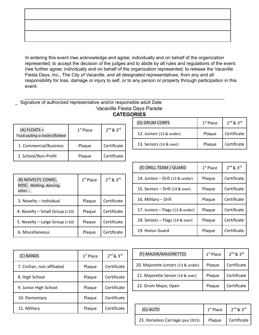In entering this event I/we acknowledge and agree; individually and on behalf of the organization represented; to accept the decision of the judges and to abide by all rules and regulations of the event. I/we further agree; individually and on behalf of the organization represented; to release the Vacaville Fiesta Days, Inc., The City of Vacaville, and all designated representatives, from any and all responsibility for loss, damage or injury to self, or to any person or property through participation in this event.

#### \_\_\_\_\_\_\_\_\_\_\_\_\_\_\_\_\_\_\_\_\_\_\_\_\_\_\_\_\_\_\_\_\_\_\_\_\_\_\_\_\_\_\_\_\_\_\_\_\_\_\_\_\_\_\_\_\_\_\_\_\_\_\_\_\_\_\_\_\_\_\_\_\_\_\_\_\_ Signature of authorized representative and/or responsible adult Date Vacaville Fiesta Days Parade **CATEGORIES**

|                                                   |             |                     | (D) DRUM CORPS           | $1st$ Place | $2^{nd}$ & $3^{rd}$ |
|---------------------------------------------------|-------------|---------------------|--------------------------|-------------|---------------------|
| $(A)$ FLOATS =<br>Truck pulling a trailer/flatbed | $1st$ Place | $2^{nd}$ & $3^{rd}$ | 12. Juniors (13 & under) | Plague      | Certificate         |
| 1. Commercial/Business                            | Plaque      | Certificate         | 13. Seniors (14 & over)  | Plague      | Certificate         |
| 2. School/Non-Profit                              | Plaque      | Certificate         |                          |             |                     |

| (B) NOVELTY, COMIC,<br>MISC. Walking, dancing,<br>other | $1st$ Place | $2^{nd}$ & $3^{rd}$ |
|---------------------------------------------------------|-------------|---------------------|
| 3. Novelty - Individual                                 | Plaque      | Certificate         |
| 4. Novelty - Small Group (<10)                          | Plaque      | Certificate         |
| 5. Novelty – Large Group (>10)                          | Plaque      | Certificate         |
| 6. Miscellaneous                                        | Plaque      | Certificate         |

| (E) DRILL TEAM / GUARD           | $1st$ Place | $2^{nd}$ & $3^{rd}$ |
|----------------------------------|-------------|---------------------|
| 14. Juniors - Drill (13 & under) | Plaque      | Certificate         |
| 15. Seniors - Drill (14 & over)  | Plaque      | Certificate         |
| 16. Military - Drill             | Plaque      | Certificate         |
| 17. Juniors - Flags (13 & under) | Plaque      | Certificate         |
| 18. Seniors - Flags (14 & over)  | Plaque      | Certificate         |
| 19. Honor Guard                  | Plague      | Certificate         |

| (C) BANDS                   | $1st$ Place | $2^{nd}$ & $3^{rd}$ |
|-----------------------------|-------------|---------------------|
| 7. Civilian, non-affiliated | Plaque      | Certificate         |
| 8. High School              | Plaque      | Certificate         |
| 9. Junior High School       | Plaque      | Certificate         |
| 10. Elementary              | Plaque      | Certificate         |
| 11. Military                | Plaque      | Certificate         |

| (F) MAJOR/MAJORETTES               | $1st$ Place | $2nd$ & $3rd$ |
|------------------------------------|-------------|---------------|
| 20. Majorette Juniors (13 & under) | Plaque      | Certificate   |
| 21. Majorette Senior (14 & over)   | Plaque      | Certificate   |
| 22. Drum Major, Open               | Plaque      | Certificate   |

| (G) AUTO                          | $1st$ Place | $2^{nd}$ & $3^{rd}$ |
|-----------------------------------|-------------|---------------------|
| 23. Horseless Carriage (pre 1915) | Plaque      | Certificate         |